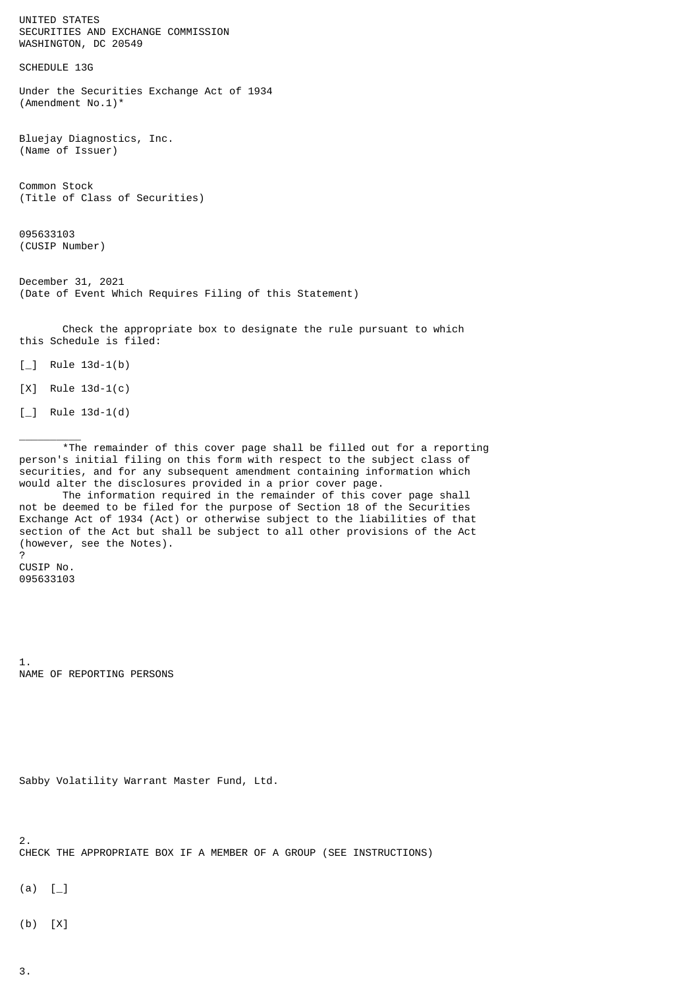UNITED STATES SECURITIES AND EXCHANGE COMMISSION WASHINGTON, DC 20549

SCHEDULE 13G

Under the Securities Exchange Act of 1934 (Amendment No.1)\*

Bluejay Diagnostics, Inc. (Name of Issuer)

Common Stock (Title of Class of Securities)

095633103 (CUSIP Number)

December 31, 2021 (Date of Event Which Requires Filing of this Statement)

 Check the appropriate box to designate the rule pursuant to which this Schedule is filed:

 $\lceil \_$  Rule 13d-1(b)

[X] Rule 13d-1(c)

 $\lceil \_$  Rule 13d-1(d)

 $\frac{1}{2}$ 

 \*The remainder of this cover page shall be filled out for a reporting person's initial filing on this form with respect to the subject class of securities, and for any subsequent amendment containing information which would alter the disclosures provided in a prior cover page.

 The information required in the remainder of this cover page shall not be deemed to be filed for the purpose of Section 18 of the Securities Exchange Act of 1934 (Act) or otherwise subject to the liabilities of that section of the Act but shall be subject to all other provisions of the Act (however, see the Notes).

? CUSIP No. 095633103

1. NAME OF REPORTING PERSONS

```
Sabby Volatility Warrant Master Fund, Ltd.
```
2.

CHECK THE APPROPRIATE BOX IF A MEMBER OF A GROUP (SEE INSTRUCTIONS)

 $(a)$  [

(b) [X]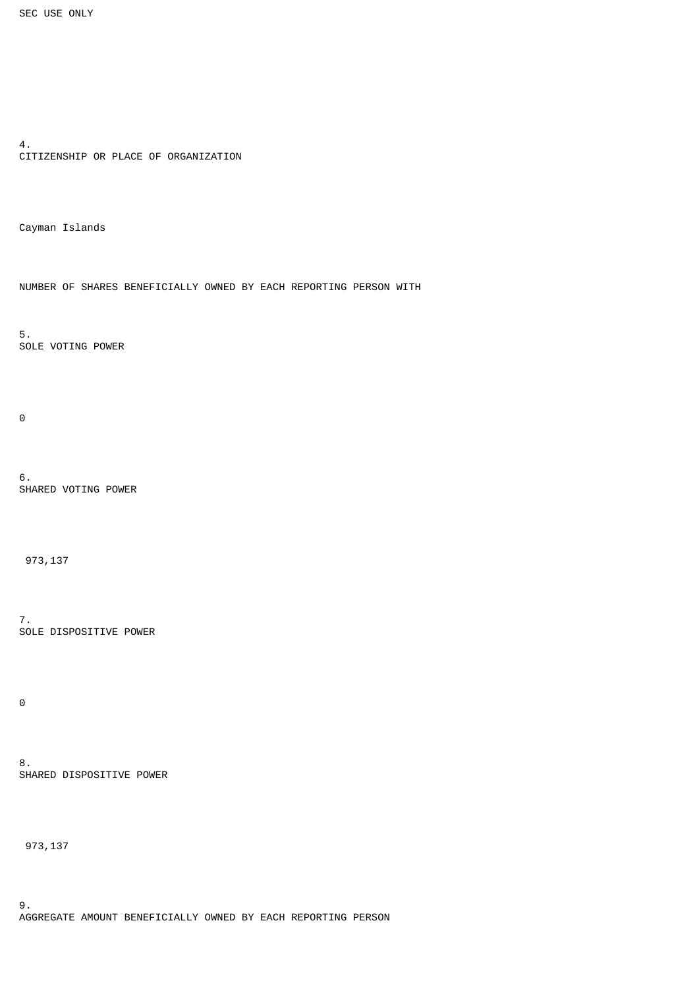```
4.
CITIZENSHIP OR PLACE OF ORGANIZATION
```
Cayman Islands

NUMBER OF SHARES BENEFICIALLY OWNED BY EACH REPORTING PERSON WITH

5. SOLE VOTING POWER

 $\Theta$ 

6. SHARED VOTING POWER

973,137

7. SOLE DISPOSITIVE POWER

0

8. SHARED DISPOSITIVE POWER

973,137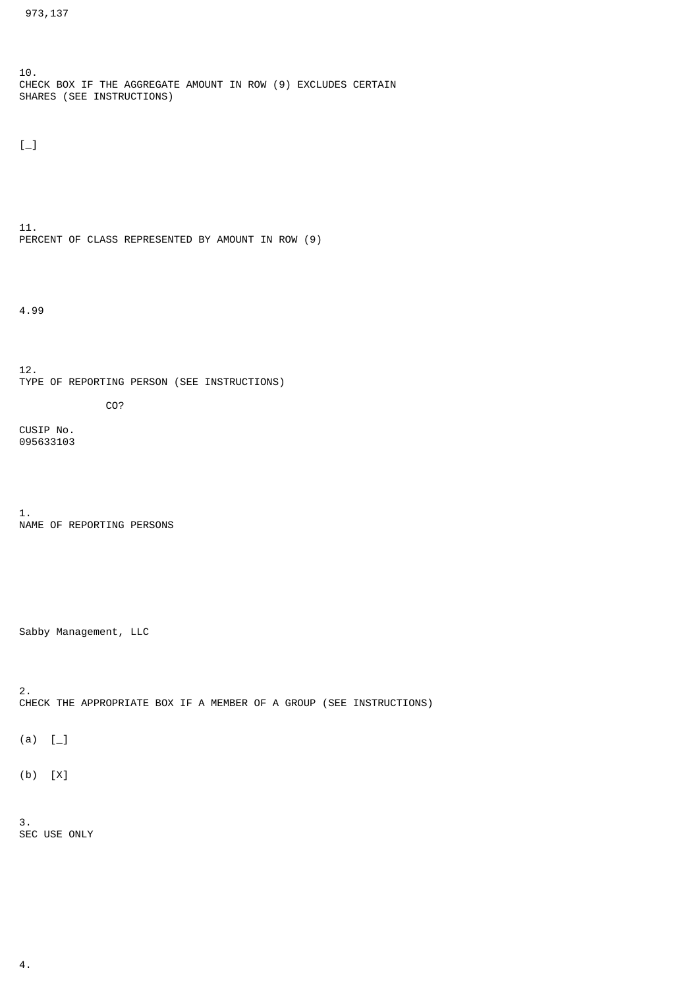10. CHECK BOX IF THE AGGREGATE AMOUNT IN ROW (9) EXCLUDES CERTAIN SHARES (SEE INSTRUCTIONS)

 $[-]$ 

11. PERCENT OF CLASS REPRESENTED BY AMOUNT IN ROW (9)

4.99

12. TYPE OF REPORTING PERSON (SEE INSTRUCTIONS) CO?

CUSIP No. 095633103

1. NAME OF REPORTING PERSONS

Sabby Management, LLC

2. CHECK THE APPROPRIATE BOX IF A MEMBER OF A GROUP (SEE INSTRUCTIONS)

 $(a) [$ 

(b) [X]

3. SEC USE ONLY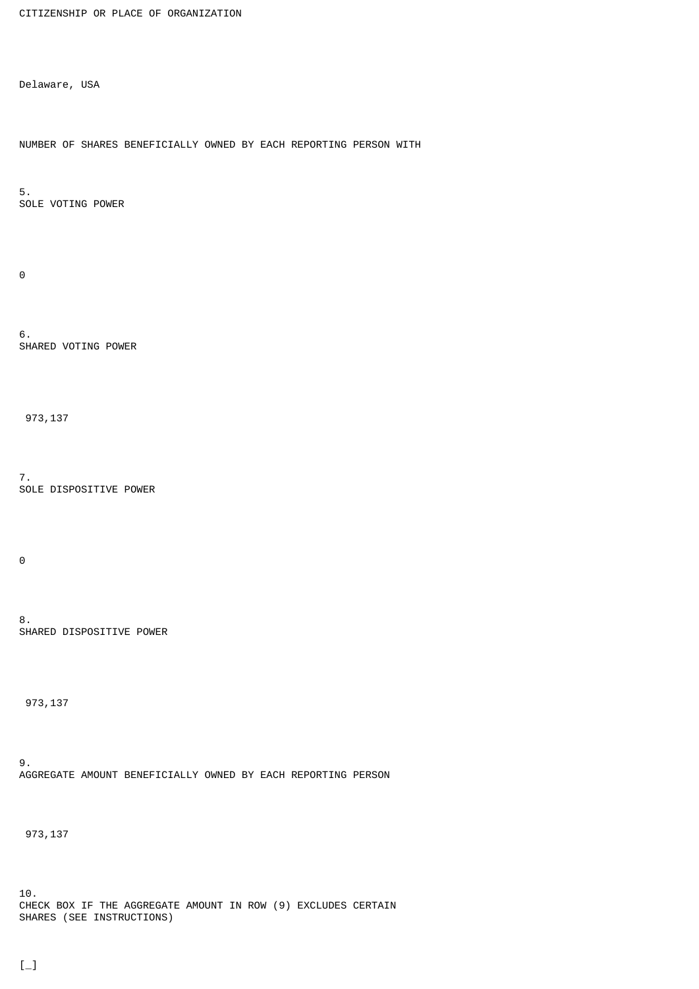```
CITIZENSHIP OR PLACE OF ORGANIZATION
```
Delaware, USA

NUMBER OF SHARES BENEFICIALLY OWNED BY EACH REPORTING PERSON WITH

5. SOLE VOTING POWER

 $\Theta$ 

6. SHARED VOTING POWER

973,137

7. SOLE DISPOSITIVE POWER

 $\Theta$ 

8. SHARED DISPOSITIVE POWER

973,137

9. AGGREGATE AMOUNT BENEFICIALLY OWNED BY EACH REPORTING PERSON

973,137

10. CHECK BOX IF THE AGGREGATE AMOUNT IN ROW (9) EXCLUDES CERTAIN SHARES (SEE INSTRUCTIONS)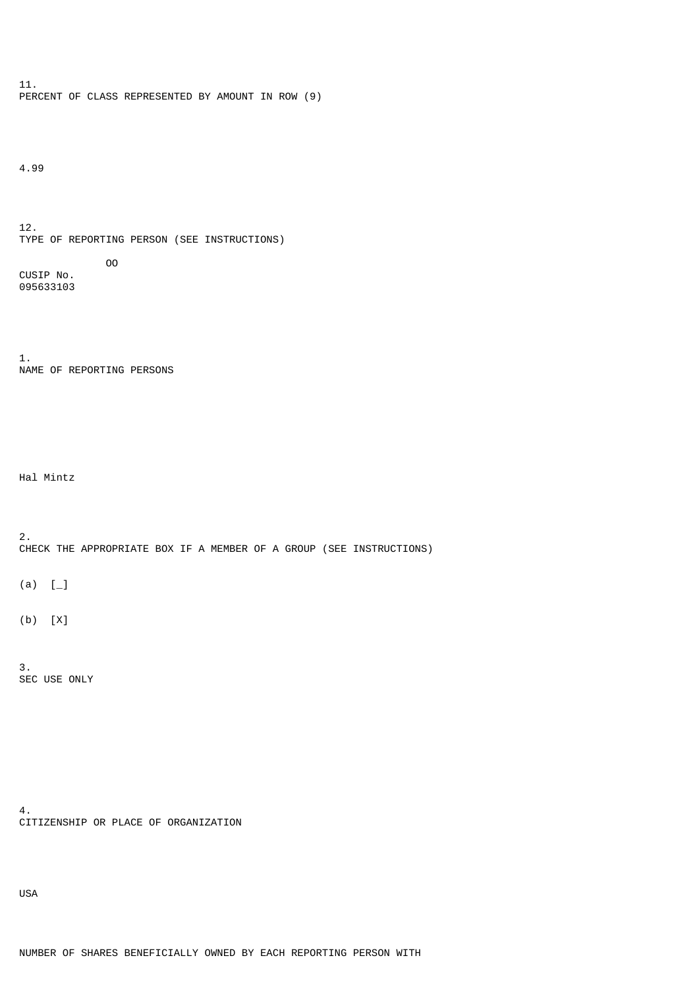11. PERCENT OF CLASS REPRESENTED BY AMOUNT IN ROW (9)

4.99

12. TYPE OF REPORTING PERSON (SEE INSTRUCTIONS) OO

CUSIP No. 095633103

1. NAME OF REPORTING PERSONS

Hal Mintz

2. CHECK THE APPROPRIATE BOX IF A MEMBER OF A GROUP (SEE INSTRUCTIONS)

 $(a) [$ 

(b) [X]

3. SEC USE ONLY

4. CITIZENSHIP OR PLACE OF ORGANIZATION

USA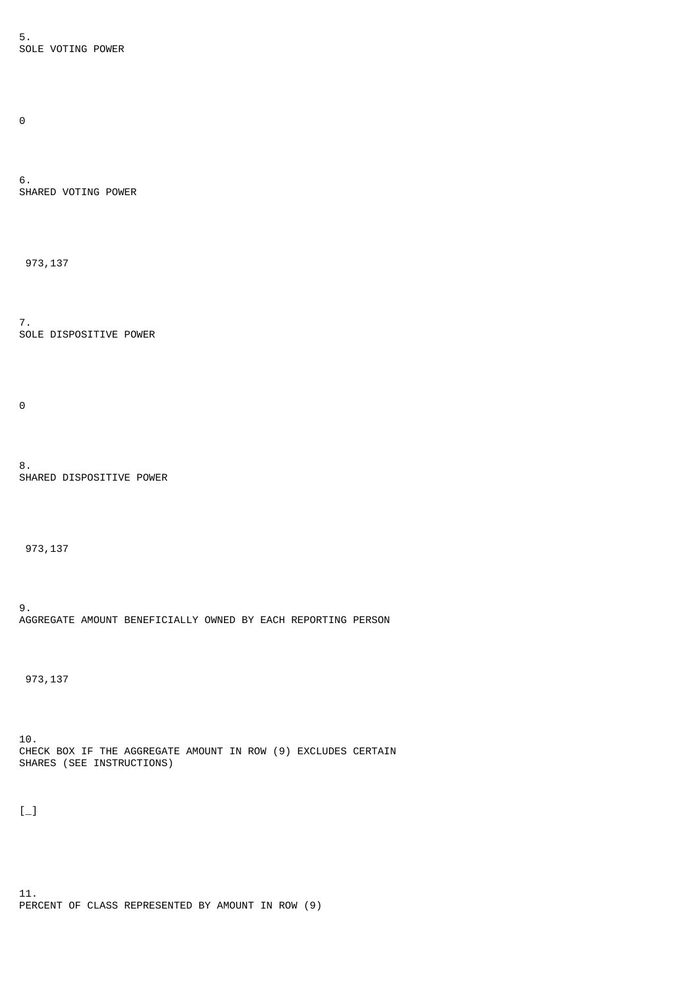5. SOLE VOTING POWER

 $\Theta$ 

6. SHARED VOTING POWER

973,137

7. SOLE DISPOSITIVE POWER

 $\Theta$ 

8. SHARED DISPOSITIVE POWER

973,137

9. AGGREGATE AMOUNT BENEFICIALLY OWNED BY EACH REPORTING PERSON

973,137

10. CHECK BOX IF THE AGGREGATE AMOUNT IN ROW (9) EXCLUDES CERTAIN SHARES (SEE INSTRUCTIONS)

 $[-]$ 

11. PERCENT OF CLASS REPRESENTED BY AMOUNT IN ROW (9)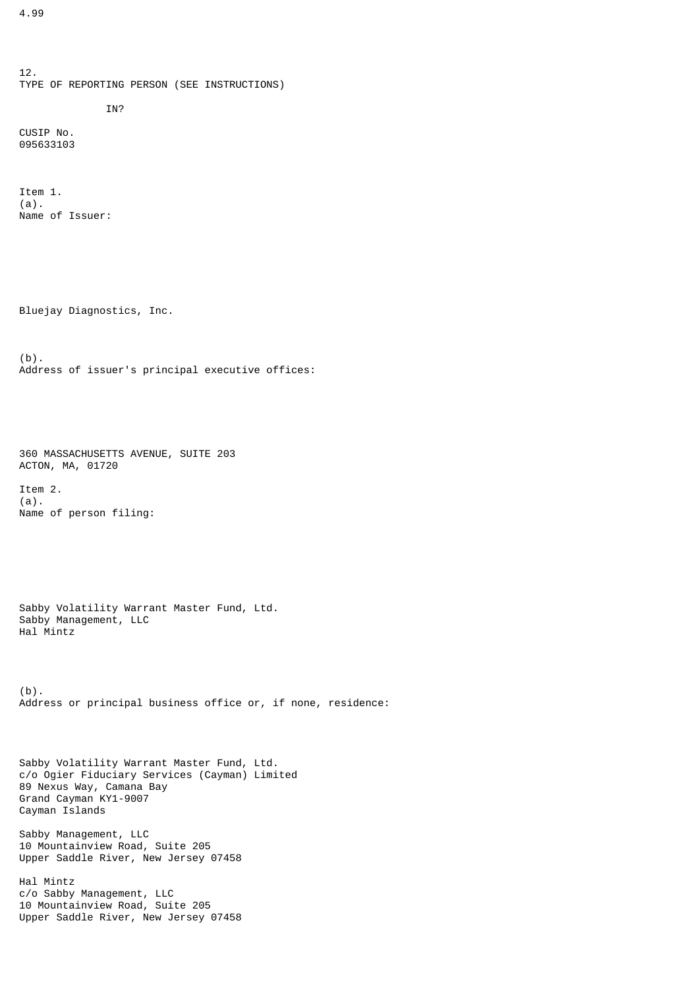12. TYPE OF REPORTING PERSON (SEE INSTRUCTIONS) IN?

CUSIP No. 095633103

Item 1. (a). Name of Issuer:

Bluejay Diagnostics, Inc.

(b). Address of issuer's principal executive offices:

360 MASSACHUSETTS AVENUE, SUITE 203 ACTON, MA, 01720

Item 2. (a). Name of person filing:

Sabby Volatility Warrant Master Fund, Ltd. Sabby Management, LLC Hal Mintz

(b). Address or principal business office or, if none, residence:

Sabby Volatility Warrant Master Fund, Ltd. c/o Ogier Fiduciary Services (Cayman) Limited 89 Nexus Way, Camana Bay Grand Cayman KY1-9007 Cayman Islands

Sabby Management, LLC 10 Mountainview Road, Suite 205 Upper Saddle River, New Jersey 07458

Hal Mintz c/o Sabby Management, LLC 10 Mountainview Road, Suite 205 Upper Saddle River, New Jersey 07458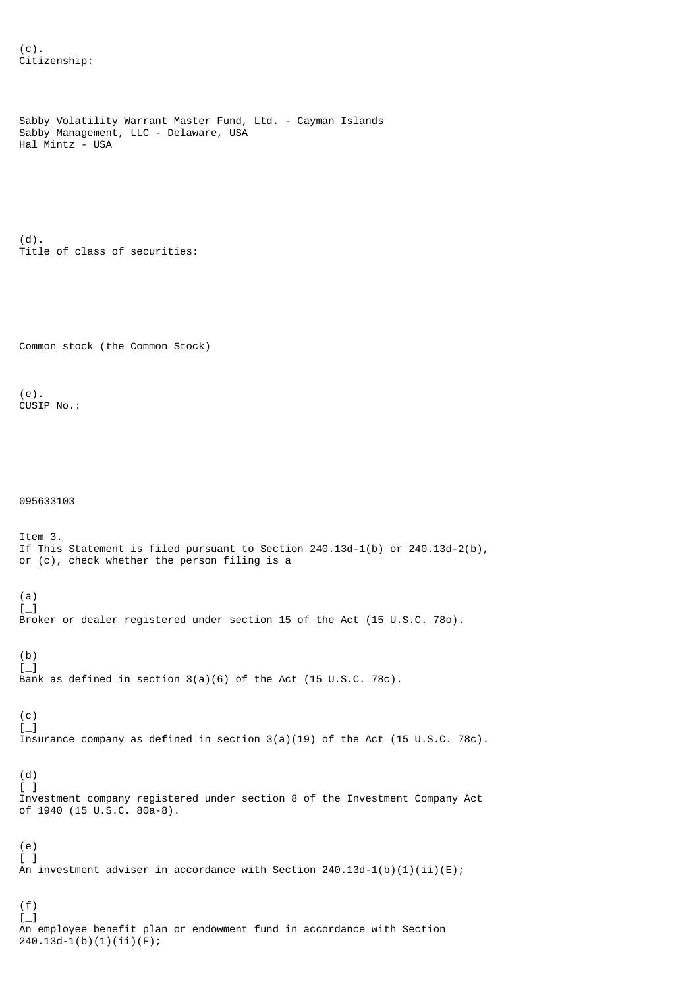```
Sabby Volatility Warrant Master Fund, Ltd. - Cayman Islands
Sabby Management, LLC - Delaware, USA
Hal Mintz - USA
(d).
Title of class of securities:
Common stock (the Common Stock)
(e).
CUSIP No.:
095633103
Item 3.
If This Statement is filed pursuant to Section 240.13d-1(b) or 240.13d-2(b),
or (c), check whether the person filing is a
(a)
[-]Broker or dealer registered under section 15 of the Act (15 U.S.C. 78o).
(b)
\left[\begin{matrix}1\\1\end{matrix}\right]Bank as defined in section 3(a)(6) of the Act (15 U.S.C. 78c).
(c)
\left[\begin{matrix} -1 \end{matrix}\right]Insurance company as defined in section 3(a)(19) of the Act (15 U.S.C. 78c).
(d)
[-]Investment company registered under section 8 of the Investment Company Act
of 1940 (15 U.S.C. 80a-8).
(e)
[-]An investment adviser in accordance with Section 240.13d-1(b)(1)(ii)(E);
(f)
[-]
```
An employee benefit plan or endowment fund in accordance with Section

240.13d-1(b)(1)(ii)(F);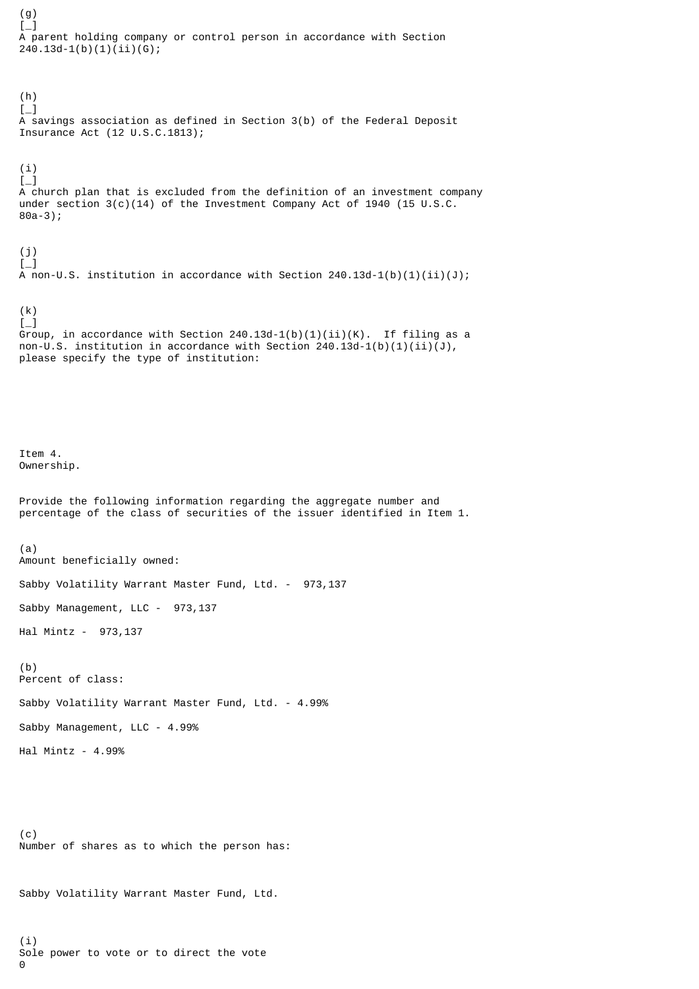(g)  $L_{-}$ A parent holding company or control person in accordance with Section 240.13d-1(b)(1)(ii)(G); (h)  $[-]$ A savings association as defined in Section 3(b) of the Federal Deposit Insurance Act (12 U.S.C.1813); (i)  $\lbrack -]$ A church plan that is excluded from the definition of an investment company under section  $3(c)(14)$  of the Investment Company Act of 1940 (15 U.S.C. 80a-3); (j)  $\lfloor - \rfloor$  $A$  non-U.S. institution in accordance with Section 240.13d-1(b)(1)(ii)(J); (k)  $[-]$ Group, in accordance with Section  $240.13d-1(b)(1)(ii)(K)$ . If filing as a non-U.S. institution in accordance with Section  $240.13d-1(b)(1)(ii)(J)$ , please specify the type of institution: Item 4. Ownership. Provide the following information regarding the aggregate number and percentage of the class of securities of the issuer identified in Item 1. (a) Amount beneficially owned: Sabby Volatility Warrant Master Fund, Ltd. - 973,137 Sabby Management, LLC - 973,137 Hal Mintz - 973,137 (b) Percent of class: Sabby Volatility Warrant Master Fund, Ltd. - 4.99% Sabby Management, LLC - 4.99% Hal Mintz - 4.99% (c) Number of shares as to which the person has: Sabby Volatility Warrant Master Fund, Ltd.

(i)

 $\Theta$ 

Sole power to vote or to direct the vote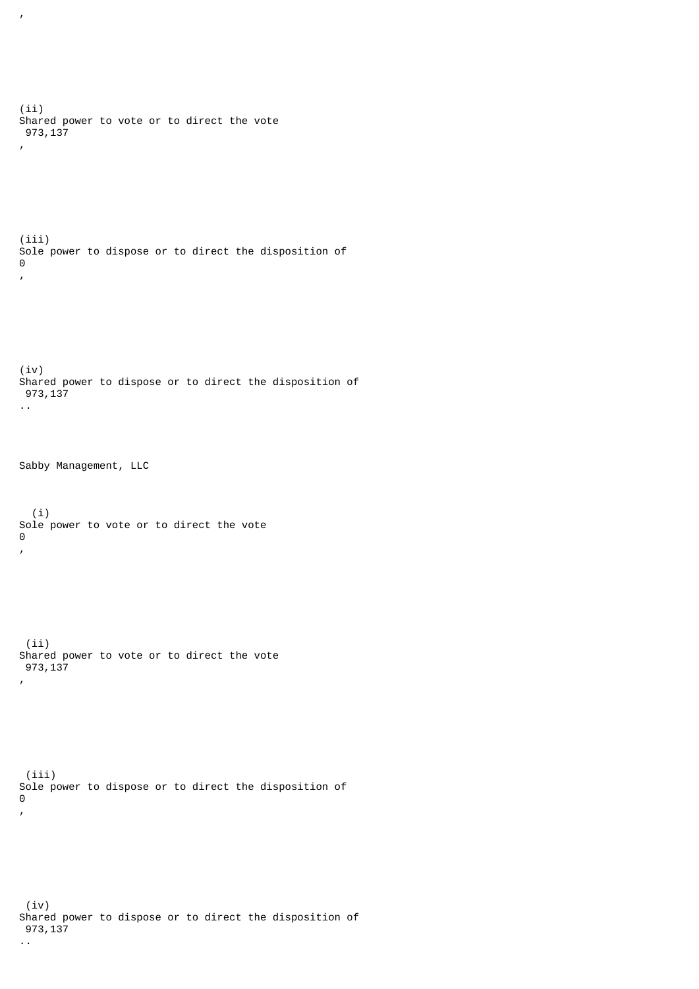(ii) Shared power to vote or to direct the vote 973,137 , (iii) Sole power to dispose or to direct the disposition of  $\Theta$ , (iv) Shared power to dispose or to direct the disposition of 973,137 .. Sabby Management, LLC (i) Sole power to vote or to direct the vote 0 , (ii) Shared power to vote or to direct the vote 973,137 , (iii) Sole power to dispose or to direct the disposition of  $\Theta$ , (iv) Shared power to dispose or to direct the disposition of 973,137 ..

,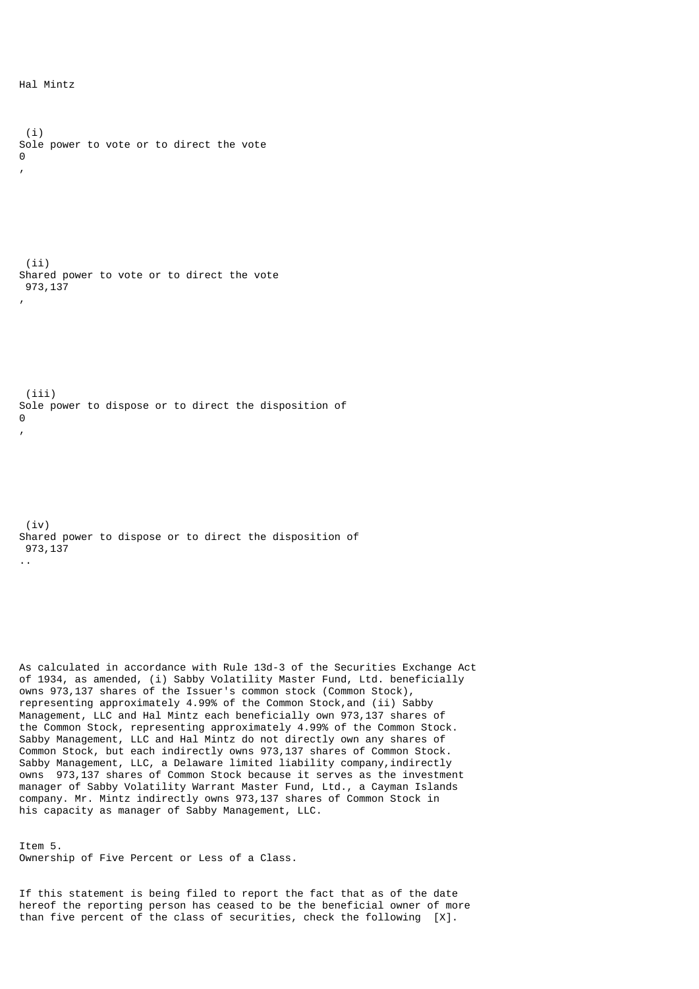```
 (i)
Sole power to vote or to direct the vote
\Omega,
  (ii)
Shared power to vote or to direct the vote
 973,137
,
  (iii)
Sole power to dispose or to direct the disposition of
\Omega,
  (iv)
Shared power to dispose or to direct the disposition of
 973,137
..
```
As calculated in accordance with Rule 13d-3 of the Securities Exchange Act of 1934, as amended, (i) Sabby Volatility Master Fund, Ltd. beneficially owns 973,137 shares of the Issuer's common stock (Common Stock), representing approximately 4.99% of the Common Stock,and (ii) Sabby Management, LLC and Hal Mintz each beneficially own 973,137 shares of the Common Stock, representing approximately 4.99% of the Common Stock. Sabby Management, LLC and Hal Mintz do not directly own any shares of Common Stock, but each indirectly owns 973,137 shares of Common Stock. Sabby Management, LLC, a Delaware limited liability company, indirectly owns 973,137 shares of Common Stock because it serves as the investment manager of Sabby Volatility Warrant Master Fund, Ltd., a Cayman Islands company. Mr. Mintz indirectly owns 973,137 shares of Common Stock in his capacity as manager of Sabby Management, LLC.

Item 5. Ownership of Five Percent or Less of a Class.

If this statement is being filed to report the fact that as of the date hereof the reporting person has ceased to be the beneficial owner of more than five percent of the class of securities, check the following [X].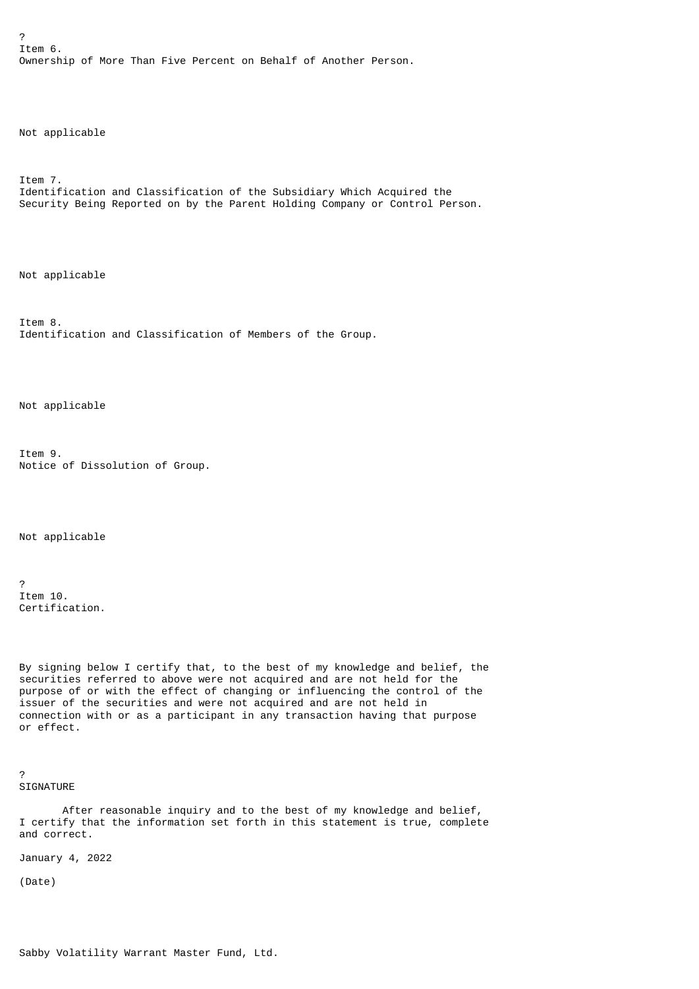? Item 6. Ownership of More Than Five Percent on Behalf of Another Person.

Not applicable

Item 7. Identification and Classification of the Subsidiary Which Acquired the Security Being Reported on by the Parent Holding Company or Control Person.

Not applicable

Item 8. Identification and Classification of Members of the Group.

Not applicable

Item 9. Notice of Dissolution of Group.

Not applicable

? Item 10. Certification.

By signing below I certify that, to the best of my knowledge and belief, the securities referred to above were not acquired and are not held for the purpose of or with the effect of changing or influencing the control of the issuer of the securities and were not acquired and are not held in connection with or as a participant in any transaction having that purpose or effect.

? SIGNATURE

 After reasonable inquiry and to the best of my knowledge and belief, I certify that the information set forth in this statement is true, complete and correct.

January 4, 2022

(Date)